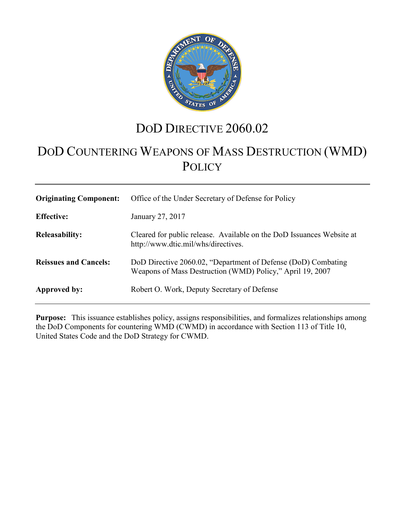

# DOD DIRECTIVE 2060.02

# DOD COUNTERING WEAPONS OF MASS DESTRUCTION (WMD) **POLICY**

| <b>Originating Component:</b> | Office of the Under Secretary of Defense for Policy                                                                        |
|-------------------------------|----------------------------------------------------------------------------------------------------------------------------|
| <b>Effective:</b>             | January 27, 2017                                                                                                           |
| <b>Releasability:</b>         | Cleared for public release. Available on the DoD Issuances Website at<br>http://www.dtic.mil/whs/directives.               |
| <b>Reissues and Cancels:</b>  | DoD Directive 2060.02, "Department of Defense (DoD) Combating<br>Weapons of Mass Destruction (WMD) Policy," April 19, 2007 |
| <b>Approved by:</b>           | Robert O. Work, Deputy Secretary of Defense                                                                                |

**Purpose:** This issuance establishes policy, assigns responsibilities, and formalizes relationships among the DoD Components for countering WMD (CWMD) in accordance with Section 113 of Title 10, United States Code and the DoD Strategy for CWMD.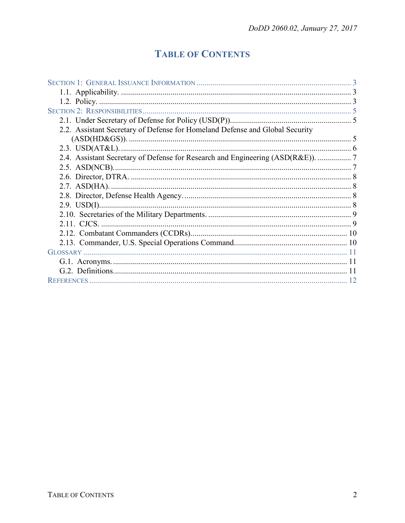## **TABLE OF CONTENTS**

| 2.2. Assistant Secretary of Defense for Homeland Defense and Global Security    |    |
|---------------------------------------------------------------------------------|----|
|                                                                                 |    |
|                                                                                 |    |
| 2.4. Assistant Secretary of Defense for Research and Engineering (ASD(R&E)).  7 |    |
|                                                                                 |    |
|                                                                                 |    |
|                                                                                 |    |
|                                                                                 |    |
|                                                                                 |    |
|                                                                                 |    |
| 2.11. CJCS.                                                                     |    |
|                                                                                 |    |
|                                                                                 |    |
|                                                                                 |    |
|                                                                                 |    |
|                                                                                 |    |
|                                                                                 | 12 |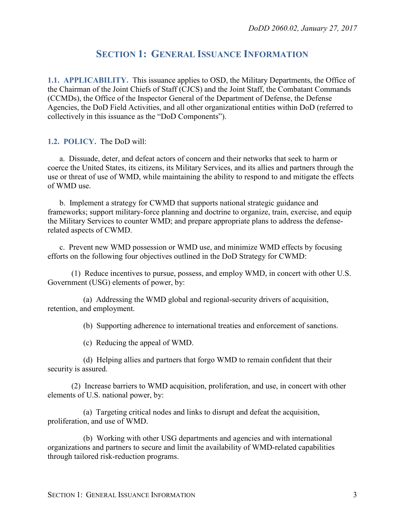## **SECTION 1: GENERAL ISSUANCE INFORMATION**

<span id="page-2-1"></span><span id="page-2-0"></span>**1.1. APPLICABILITY.** This issuance applies to OSD, the Military Departments, the Office of the Chairman of the Joint Chiefs of Staff (CJCS) and the Joint Staff, the Combatant Commands (CCMDs), the Office of the Inspector General of the Department of Defense, the Defense Agencies, the DoD Field Activities, and all other organizational entities within DoD (referred to collectively in this issuance as the "DoD Components").

<span id="page-2-2"></span>**1.2. POLICY.** The DoD will:

a. Dissuade, deter, and defeat actors of concern and their networks that seek to harm or coerce the United States, its citizens, its Military Services, and its allies and partners through the use or threat of use of WMD, while maintaining the ability to respond to and mitigate the effects of WMD use.

b. Implement a strategy for CWMD that supports national strategic guidance and frameworks; support military-force planning and doctrine to organize, train, exercise, and equip the Military Services to counter WMD; and prepare appropriate plans to address the defenserelated aspects of CWMD.

c. Prevent new WMD possession or WMD use, and minimize WMD effects by focusing efforts on the following four objectives outlined in the DoD Strategy for CWMD:

(1) Reduce incentives to pursue, possess, and employ WMD, in concert with other U.S. Government (USG) elements of power, by:

(a) Addressing the WMD global and regional-security drivers of acquisition, retention, and employment.

(b) Supporting adherence to international treaties and enforcement of sanctions.

(c) Reducing the appeal of WMD.

(d) Helping allies and partners that forgo WMD to remain confident that their security is assured.

(2) Increase barriers to WMD acquisition, proliferation, and use, in concert with other elements of U.S. national power, by:

(a) Targeting critical nodes and links to disrupt and defeat the acquisition, proliferation, and use of WMD.

(b) Working with other USG departments and agencies and with international organizations and partners to secure and limit the availability of WMD-related capabilities through tailored risk-reduction programs.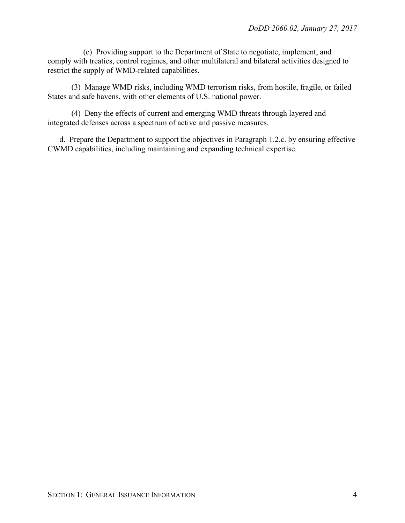(c) Providing support to the Department of State to negotiate, implement, and comply with treaties, control regimes, and other multilateral and bilateral activities designed to restrict the supply of WMD-related capabilities.

(3) Manage WMD risks, including WMD terrorism risks, from hostile, fragile, or failed States and safe havens, with other elements of U.S. national power.

(4) Deny the effects of current and emerging WMD threats through layered and integrated defenses across a spectrum of active and passive measures.

d. Prepare the Department to support the objectives in Paragraph 1.2.c. by ensuring effective CWMD capabilities, including maintaining and expanding technical expertise.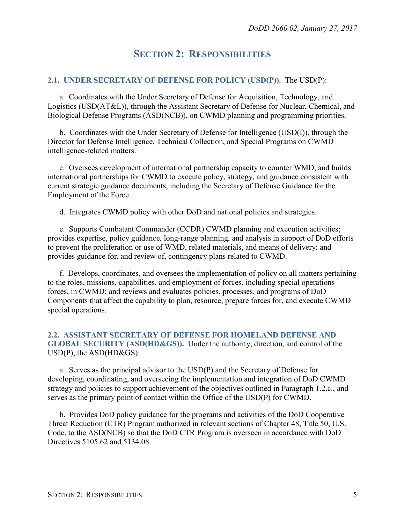## **SECTION 2: RESPONSIBILITIES**

#### <span id="page-4-1"></span><span id="page-4-0"></span>**2.1. UNDER SECRETARY OF DEFENSE FOR POLICY (USD(P)).** The USD(P):

a. Coordinates with the Under Secretary of Defense for Acquisition, Technology, and Logistics (USD(AT&L)), through the Assistant Secretary of Defense for Nuclear, Chemical, and Biological Defense Programs (ASD(NCB)), on CWMD planning and programming priorities.

b. Coordinates with the Under Secretary of Defense for Intelligence (USD(I)), through the Director for Defense Intelligence, Technical Collection, and Special Programs on CWMD intelligence-related matters.

c. Oversees development of international partnership capacity to counter WMD, and builds international partnerships for CWMD to execute policy, strategy, and guidance consistent with current strategic guidance documents, including the Secretary of Defense Guidance for the Employment of the Force.

d. Integrates CWMD policy with other DoD and national policies and strategies.

e. Supports Combatant Commander (CCDR) CWMD planning and execution activities; provides expertise, policy guidance, long-range planning, and analysis in support of DoD efforts to prevent the proliferation or use of WMD, related materials, and means of delivery; and provides guidance for, and review of, contingency plans related to CWMD.

f. Develops, coordinates, and oversees the implementation of policy on all matters pertaining to the roles, missions, capabilities, and employment of forces, including special operations forces, in CWMD; and reviews and evaluates policies, processes, and programs of DoD Components that affect the capability to plan, resource, prepare forces for, and execute CWMD special operations.

#### <span id="page-4-2"></span>**2.2. ASSISTANT SECRETARY OF DEFENSE FOR HOMELAND DEFENSE AND GLOBAL SECURITY (ASD(HD&GS)).** Under the authority, direction, and control of the USD(P), the ASD(HD&GS):

a. Serves as the principal advisor to the USD(P) and the Secretary of Defense for developing, coordinating, and overseeing the implementation and integration of DoD CWMD strategy and policies to support achievement of the objectives outlined in Paragraph 1.2.c., and serves as the primary point of contact within the Office of the USD(P) for CWMD.

b. Provides DoD policy guidance for the programs and activities of the DoD Cooperative Threat Reduction (CTR) Program authorized in relevant sections of Chapter 48, Title 50, U.S. Code, to the ASD(NCB) so that the DoD CTR Program is overseen in accordance with DoD Directives 5105.62 and 5134.08.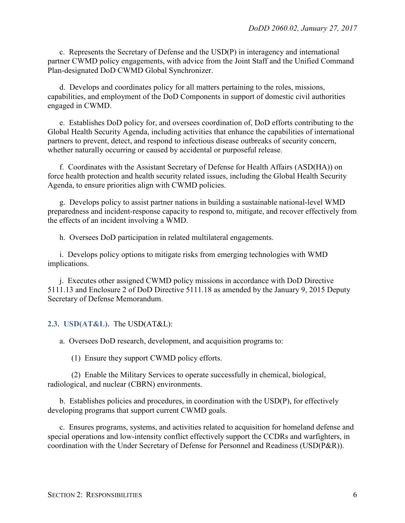c. Represents the Secretary of Defense and the USD(P) in interagency and international partner CWMD policy engagements, with advice from the Joint Staff and the Unified Command Plan-designated DoD CWMD Global Synchronizer.

d. Develops and coordinates policy for all matters pertaining to the roles, missions, capabilities, and employment of the DoD Components in support of domestic civil authorities engaged in CWMD.

e. Establishes DoD policy for, and oversees coordination of, DoD efforts contributing to the Global Health Security Agenda, including activities that enhance the capabilities of international partners to prevent, detect, and respond to infectious disease outbreaks of security concern, whether naturally occurring or caused by accidental or purposeful release.

f. Coordinates with the Assistant Secretary of Defense for Health Affairs (ASD(HA)) on force health protection and health security related issues, including the Global Health Security Agenda, to ensure priorities align with CWMD policies.

g. Develops policy to assist partner nations in building a sustainable national-level WMD preparedness and incident-response capacity to respond to, mitigate, and recover effectively from the effects of an incident involving a WMD.

h. Oversees DoD participation in related multilateral engagements.

i. Develops policy options to mitigate risks from emerging technologies with WMD implications.

j. Executes other assigned CWMD policy missions in accordance with DoD Directive 5111.13 and Enclosure 2 of DoD Directive 5111.18 as amended by the January 9, 2015 Deputy Secretary of Defense Memorandum.

#### <span id="page-5-0"></span>**2.3. USD(AT&L).** The USD(AT&L):

a. Oversees DoD research, development, and acquisition programs to:

(1) Ensure they support CWMD policy efforts.

(2) Enable the Military Services to operate successfully in chemical, biological, radiological, and nuclear (CBRN) environments.

b. Establishes policies and procedures, in coordination with the USD(P), for effectively developing programs that support current CWMD goals.

c. Ensures programs, systems, and activities related to acquisition for homeland defense and special operations and low-intensity conflict effectively support the CCDRs and warfighters, in coordination with the Under Secretary of Defense for Personnel and Readiness (USD(P&R)).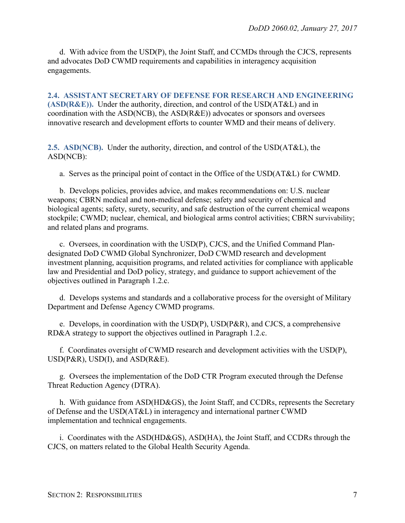d. With advice from the USD(P), the Joint Staff, and CCMDs through the CJCS, represents and advocates DoD CWMD requirements and capabilities in interagency acquisition engagements.

<span id="page-6-0"></span>**2.4. ASSISTANT SECRETARY OF DEFENSE FOR RESEARCH AND ENGINEERING (ASD(R&E)).** Under the authority, direction, and control of the USD(AT&L) and in coordination with the ASD(NCB), the ASD(R&E)) advocates or sponsors and oversees innovative research and development efforts to counter WMD and their means of delivery.

<span id="page-6-1"></span>**2.5. ASD(NCB).** Under the authority, direction, and control of the USD(AT&L), the ASD(NCB):

a. Serves as the principal point of contact in the Office of the USD(AT&L) for CWMD.

b. Develops policies, provides advice, and makes recommendations on: U.S. nuclear weapons; CBRN medical and non-medical defense; safety and security of chemical and biological agents; safety, surety, security, and safe destruction of the current chemical weapons stockpile; CWMD; nuclear, chemical, and biological arms control activities; CBRN survivability; and related plans and programs.

c. Oversees, in coordination with the USD(P), CJCS, and the Unified Command Plandesignated DoD CWMD Global Synchronizer, DoD CWMD research and development investment planning, acquisition programs, and related activities for compliance with applicable law and Presidential and DoD policy, strategy, and guidance to support achievement of the objectives outlined in Paragraph 1.2.c.

d. Develops systems and standards and a collaborative process for the oversight of Military Department and Defense Agency CWMD programs.

e. Develops, in coordination with the USD(P), USD(P&R), and CJCS, a comprehensive RD&A strategy to support the objectives outlined in Paragraph 1.2.c.

f. Coordinates oversight of CWMD research and development activities with the USD(P),  $USD(P&R)$ ,  $USD(I)$ , and  $ASD(R&E)$ .

g. Oversees the implementation of the DoD CTR Program executed through the Defense Threat Reduction Agency (DTRA).

h. With guidance from ASD(HD&GS), the Joint Staff, and CCDRs, represents the Secretary of Defense and the USD(AT&L) in interagency and international partner CWMD implementation and technical engagements.

i. Coordinates with the ASD(HD&GS), ASD(HA), the Joint Staff, and CCDRs through the CJCS, on matters related to the Global Health Security Agenda.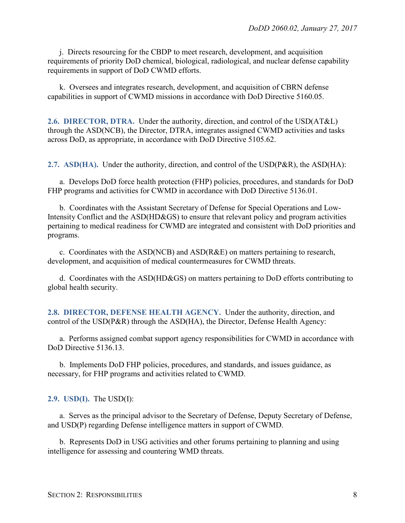j. Directs resourcing for the CBDP to meet research, development, and acquisition requirements of priority DoD chemical, biological, radiological, and nuclear defense capability requirements in support of DoD CWMD efforts.

k. Oversees and integrates research, development, and acquisition of CBRN defense capabilities in support of CWMD missions in accordance with DoD Directive 5160.05.

<span id="page-7-0"></span>**2.6. DIRECTOR, DTRA.** Under the authority, direction, and control of the USD(AT&L) through the ASD(NCB), the Director, DTRA, integrates assigned CWMD activities and tasks across DoD, as appropriate, in accordance with DoD Directive 5105.62.

<span id="page-7-1"></span>**2.7. ASD(HA).** Under the authority, direction, and control of the USD(P&R), the ASD(HA):

a. Develops DoD force health protection (FHP) policies, procedures, and standards for DoD FHP programs and activities for CWMD in accordance with DoD Directive 5136.01.

b. Coordinates with the Assistant Secretary of Defense for Special Operations and Low-Intensity Conflict and the ASD(HD&GS) to ensure that relevant policy and program activities pertaining to medical readiness for CWMD are integrated and consistent with DoD priorities and programs.

c. Coordinates with the ASD(NCB) and ASD(R&E) on matters pertaining to research, development, and acquisition of medical countermeasures for CWMD threats.

d. Coordinates with the ASD(HD&GS) on matters pertaining to DoD efforts contributing to global health security.

<span id="page-7-2"></span>**2.8. DIRECTOR, DEFENSE HEALTH AGENCY.** Under the authority, direction, and control of the USD(P&R) through the ASD(HA), the Director, Defense Health Agency:

a. Performs assigned combat support agency responsibilities for CWMD in accordance with DoD Directive 5136.13.

b. Implements DoD FHP policies, procedures, and standards, and issues guidance, as necessary, for FHP programs and activities related to CWMD.

#### <span id="page-7-3"></span>**2.9. USD(I).** The USD(I):

a. Serves as the principal advisor to the Secretary of Defense, Deputy Secretary of Defense, and USD(P) regarding Defense intelligence matters in support of CWMD.

b. Represents DoD in USG activities and other forums pertaining to planning and using intelligence for assessing and countering WMD threats.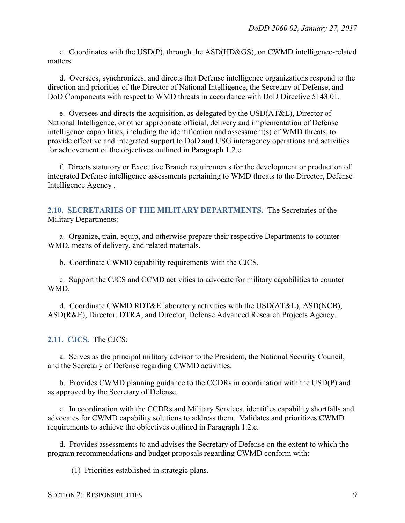c. Coordinates with the USD(P), through the ASD(HD&GS), on CWMD intelligence-related matters.

d. Oversees, synchronizes, and directs that Defense intelligence organizations respond to the direction and priorities of the Director of National Intelligence, the Secretary of Defense, and DoD Components with respect to WMD threats in accordance with DoD Directive 5143.01.

e. Oversees and directs the acquisition, as delegated by the USD(AT&L), Director of National Intelligence, or other appropriate official, delivery and implementation of Defense intelligence capabilities, including the identification and assessment(s) of WMD threats, to provide effective and integrated support to DoD and USG interagency operations and activities for achievement of the objectives outlined in Paragraph 1.2.c.

f. Directs statutory or Executive Branch requirements for the development or production of integrated Defense intelligence assessments pertaining to WMD threats to the Director, Defense Intelligence Agency .

<span id="page-8-0"></span>**2.10. SECRETARIES OF THE MILITARY DEPARTMENTS.** The Secretaries of the Military Departments:

a. Organize, train, equip, and otherwise prepare their respective Departments to counter WMD, means of delivery, and related materials.

b. Coordinate CWMD capability requirements with the CJCS.

c. Support the CJCS and CCMD activities to advocate for military capabilities to counter WMD.

d. Coordinate CWMD RDT&E laboratory activities with the USD(AT&L), ASD(NCB), ASD(R&E), Director, DTRA, and Director, Defense Advanced Research Projects Agency.

<span id="page-8-1"></span>**2.11. CJCS.** The CJCS:

a. Serves as the principal military advisor to the President, the National Security Council, and the Secretary of Defense regarding CWMD activities.

b. Provides CWMD planning guidance to the CCDRs in coordination with the USD(P) and as approved by the Secretary of Defense.

c. In coordination with the CCDRs and Military Services, identifies capability shortfalls and advocates for CWMD capability solutions to address them. Validates and prioritizes CWMD requirements to achieve the objectives outlined in Paragraph 1.2.c.

d. Provides assessments to and advises the Secretary of Defense on the extent to which the program recommendations and budget proposals regarding CWMD conform with:

(1) Priorities established in strategic plans.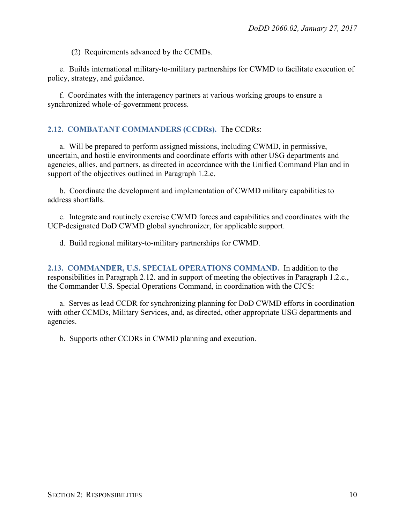(2) Requirements advanced by the CCMDs.

e. Builds international military-to-military partnerships for CWMD to facilitate execution of policy, strategy, and guidance.

f. Coordinates with the interagency partners at various working groups to ensure a synchronized whole-of-government process.

#### <span id="page-9-0"></span>**2.12. COMBATANT COMMANDERS (CCDRs).** The CCDRs:

a. Will be prepared to perform assigned missions, including CWMD, in permissive, uncertain, and hostile environments and coordinate efforts with other USG departments and agencies, allies, and partners, as directed in accordance with the Unified Command Plan and in support of the objectives outlined in Paragraph 1.2.c.

b. Coordinate the development and implementation of CWMD military capabilities to address shortfalls.

c. Integrate and routinely exercise CWMD forces and capabilities and coordinates with the UCP-designated DoD CWMD global synchronizer, for applicable support.

d. Build regional military-to-military partnerships for CWMD.

<span id="page-9-1"></span>**2.13. COMMANDER, U.S. SPECIAL OPERATIONS COMMAND.** In addition to the responsibilities in Paragraph 2.12. and in support of meeting the objectives in Paragraph 1.2.c., the Commander U.S. Special Operations Command, in coordination with the CJCS:

a. Serves as lead CCDR for synchronizing planning for DoD CWMD efforts in coordination with other CCMDs, Military Services, and, as directed, other appropriate USG departments and agencies.

b. Supports other CCDRs in CWMD planning and execution.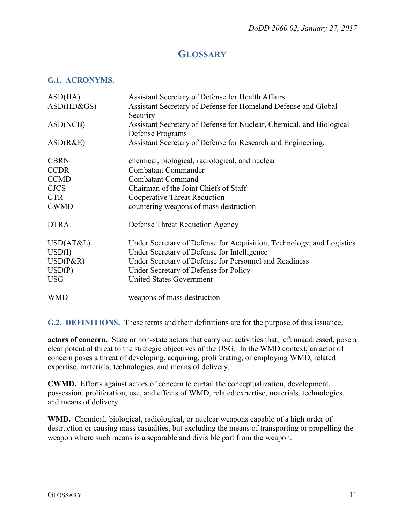## **GLOSSARY**

#### <span id="page-10-1"></span><span id="page-10-0"></span>**G.1. ACRONYMS.**

| ASD(HA)<br>$ASD(HD\&GS)$ | Assistant Secretary of Defense for Health Affairs<br>Assistant Secretary of Defense for Homeland Defense and Global |
|--------------------------|---------------------------------------------------------------------------------------------------------------------|
|                          | Security                                                                                                            |
| ASD(NCB)                 | Assistant Secretary of Defense for Nuclear, Chemical, and Biological                                                |
|                          | Defense Programs                                                                                                    |
| ASD(R&E)                 | Assistant Secretary of Defense for Research and Engineering.                                                        |
| <b>CBRN</b>              | chemical, biological, radiological, and nuclear                                                                     |
| <b>CCDR</b>              | <b>Combatant Commander</b>                                                                                          |
| <b>CCMD</b>              | <b>Combatant Command</b>                                                                                            |
| <b>CJCS</b>              | Chairman of the Joint Chiefs of Staff                                                                               |
| <b>CTR</b>               | <b>Cooperative Threat Reduction</b>                                                                                 |
| <b>CWMD</b>              | countering weapons of mass destruction                                                                              |
| <b>DTRA</b>              | Defense Threat Reduction Agency                                                                                     |
| USD(AT&L)                | Under Secretary of Defense for Acquisition, Technology, and Logistics                                               |
| USD(I)                   | Under Secretary of Defense for Intelligence                                                                         |
| $USD(P\&R)$              | Under Secretary of Defense for Personnel and Readiness                                                              |
| USD(P)                   | Under Secretary of Defense for Policy                                                                               |
| <b>USG</b>               | <b>United States Government</b>                                                                                     |
| <b>WMD</b>               | weapons of mass destruction                                                                                         |

<span id="page-10-2"></span>**G.2. DEFINITIONS.** These terms and their definitions are for the purpose of this issuance.

**actors of concern.** State or non-state actors that carry out activities that, left unaddressed, pose a clear potential threat to the strategic objectives of the USG. In the WMD context, an actor of concern poses a threat of developing, acquiring, proliferating, or employing WMD, related expertise, materials, technologies, and means of delivery.

**CWMD.** Efforts against actors of concern to curtail the conceptualization, development, possession, proliferation, use, and effects of WMD, related expertise, materials, technologies, and means of delivery.

**WMD.** Chemical, biological, radiological, or nuclear weapons capable of a high order of destruction or causing mass casualties, but excluding the means of transporting or propelling the weapon where such means is a separable and divisible part from the weapon.